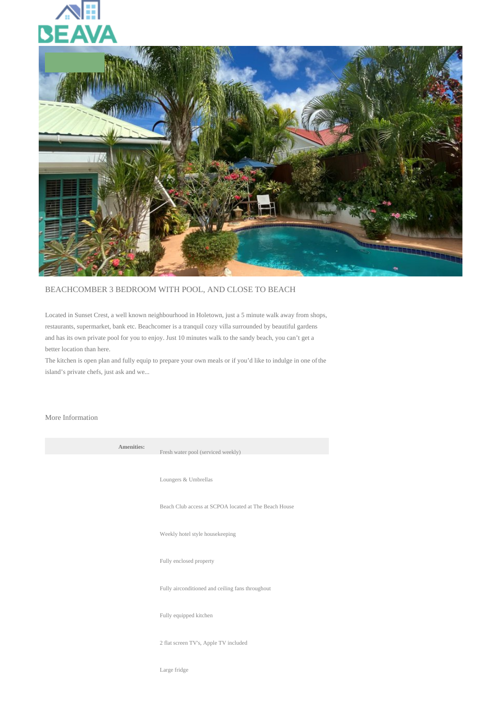



## BEACHCOMBER 3 BEDROOM WITH POOL, AND CLOSE TO BEACH

Located in Sunset Crest, a well known neighbourhood in Holetown, just a 5 minute walk away from shops, restaurants, supermarket, bank etc. Beachcomer is a tranquil cozy villa surrounded by beautiful gardens and has its own private pool for you to enjoy. Just 10 minutes walk to the sandy beach, you can't get a better location than here.

The kitchen is open plan and fully equip to prepare your own meals or if you'd like to indulge in one of the island's private chefs, just ask and we...

## More Information

**Amenities:** 

Fresh water pool (serviced weekly) Loungers & Umbrellas Beach Club access at SCPOA located at The Beach House Weekly hotel style housekeeping Fully enclosed property Fully airconditioned and ceiling fans throughout Fully equipped kitchen 2 flat screen TV's, Apple TV included

Large fridge